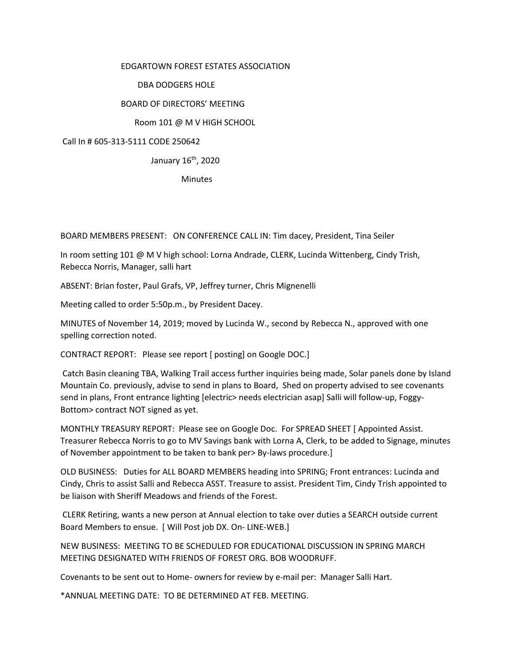## EDGARTOWN FOREST ESTATES ASSOCIATION

## DBA DODGERS HOLE

# BOARD OF DIRECTORS' MEETING

## Room 101 @ M V HIGH SCHOOL

## Call In # 605-313-5111 CODE 250642

## January 16th, 2020

**Minutes** 

BOARD MEMBERS PRESENT: ON CONFERENCE CALL IN: Tim dacey, President, Tina Seiler

In room setting 101 @ M V high school: Lorna Andrade, CLERK, Lucinda Wittenberg, Cindy Trish, Rebecca Norris, Manager, salli hart

ABSENT: Brian foster, Paul Grafs, VP, Jeffrey turner, Chris Mignenelli

Meeting called to order 5:50p.m., by President Dacey.

MINUTES of November 14, 2019; moved by Lucinda W., second by Rebecca N., approved with one spelling correction noted.

CONTRACT REPORT: Please see report [ posting] on Google DOC.]

Catch Basin cleaning TBA, Walking Trail access further inquiries being made, Solar panels done by Island Mountain Co. previously, advise to send in plans to Board, Shed on property advised to see covenants send in plans, Front entrance lighting [electric> needs electrician asap] Salli will follow-up, Foggy-Bottom> contract NOT signed as yet.

MONTHLY TREASURY REPORT: Please see on Google Doc. For SPREAD SHEET [ Appointed Assist. Treasurer Rebecca Norris to go to MV Savings bank with Lorna A, Clerk, to be added to Signage, minutes of November appointment to be taken to bank per> By-laws procedure.]

OLD BUSINESS: Duties for ALL BOARD MEMBERS heading into SPRING; Front entrances: Lucinda and Cindy, Chris to assist Salli and Rebecca ASST. Treasure to assist. President Tim, Cindy Trish appointed to be liaison with Sheriff Meadows and friends of the Forest.

CLERK Retiring, wants a new person at Annual election to take over duties a SEARCH outside current Board Members to ensue. [ Will Post job DX. On- LINE-WEB.]

NEW BUSINESS: MEETING TO BE SCHEDULED FOR EDUCATIONAL DISCUSSION IN SPRING MARCH MEETING DESIGNATED WITH FRIENDS OF FOREST ORG. BOB WOODRUFF.

Covenants to be sent out to Home- owners for review by e-mail per: Manager Salli Hart.

\*ANNUAL MEETING DATE: TO BE DETERMINED AT FEB. MEETING.